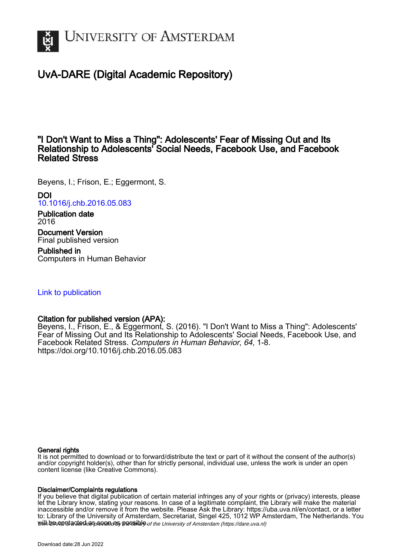

# UvA-DARE (Digital Academic Repository)

# "I Don't Want to Miss a Thing": Adolescents' Fear of Missing Out and Its Relationship to Adolescents' Social Needs, Facebook Use, and Facebook Related Stress

Beyens, I.; Frison, E.; Eggermont, S.

DOI [10.1016/j.chb.2016.05.083](https://doi.org/10.1016/j.chb.2016.05.083) Publication date 2016

Document Version Final published version

Published in Computers in Human Behavior

# [Link to publication](https://dare.uva.nl/personal/pure/en/publications/i-dont-want-to-miss-a-thing-adolescents-fear-of-missing-out-and-its-relationship-to-adolescents-social-needs-facebook-use-and-facebook-related-stress(4acab109-700d-4a01-bbd8-e67884772dd9).html)

# Citation for published version (APA):

Beyens, I., Frison, E., & Eggermont, S. (2016). "I Don't Want to Miss a Thing": Adolescents' Fear of Missing Out and Its Relationship to Adolescents' Social Needs, Facebook Use, and Facebook Related Stress. Computers in Human Behavior, 64, 1-8. <https://doi.org/10.1016/j.chb.2016.05.083>

# General rights

It is not permitted to download or to forward/distribute the text or part of it without the consent of the author(s) and/or copyright holder(s), other than for strictly personal, individual use, unless the work is under an open content license (like Creative Commons).

# Disclaimer/Complaints regulations

will be contacted as sontacty pessible of the University of Amsterdam (https://dare.uva.nl) If you believe that digital publication of certain material infringes any of your rights or (privacy) interests, please let the Library know, stating your reasons. In case of a legitimate complaint, the Library will make the material inaccessible and/or remove it from the website. Please Ask the Library: https://uba.uva.nl/en/contact, or a letter to: Library of the University of Amsterdam, Secretariat, Singel 425, 1012 WP Amsterdam, The Netherlands. You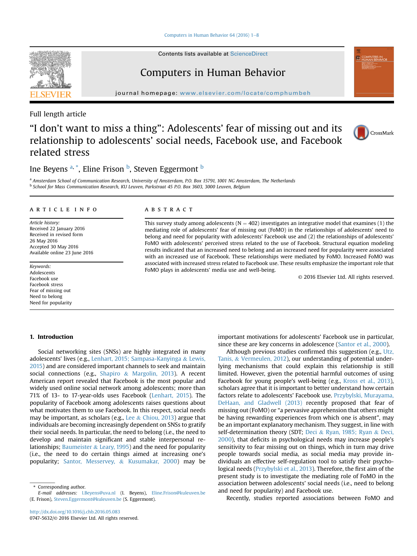Computers in Human Behavior 64 (2016)  $1-8$  $1-8$ 

Contents lists available at ScienceDirect

# Computers in Human Behavior

journal homepage: <www.elsevier.com/locate/comphumbeh>

Full length article

# "I don't want to miss a thing": Adolescents' fear of missing out and its relationship to adolescents' social needs, Facebook use, and Facebook related stress



# Ine Beyens <sup>a, \*</sup>, Eline Frison <sup>b</sup>, Steven Eggermont <sup>b</sup>

a Amsterdam School of Communication Research, University of Amsterdam, P.O. Box 15791, 1001 NG Amsterdam, The Netherlands <sup>b</sup> School for Mass Communication Research, KU Leuven, Parkstraat 45 P.O. Box 3603, 3000 Leuven, Belgium

#### article info

Article history: Received 22 January 2016 Received in revised form 26 May 2016 Accepted 30 May 2016 Available online 23 June 2016

Keywords: Adolescents Facebook use Facebook stress Fear of missing out Need to belong Need for popularity

## 1. Introduction

## Social networking sites (SNSs) are highly integrated in many adolescents' lives (e.g., [Lenhart, 2015; Sampasa-Kanyinga](#page-7-0) & [Lewis,](#page-7-0) [2015\)](#page-7-0) and are considered important channels to seek and maintain social connections (e.g., [Shapiro](#page-7-0) & [Margolin, 2013\)](#page-7-0). A recent American report revealed that Facebook is the most popular and widely used online social network among adolescents; more than 71% of 13- to 17-year-olds uses Facebook ([Lenhart, 2015](#page-7-0)). The popularity of Facebook among adolescents raises questions about what motivates them to use Facebook. In this respect, social needs may be important, as scholars (e.g., [Lee](#page-7-0) & [Chiou, 2013\)](#page-7-0) argue that individuals are becoming increasingly dependent on SNSs to gratify their social needs. In particular, the need to belong (i.e., the need to develop and maintain significant and stable interpersonal re-lationships; [Baumeister](#page-7-0)  $&$  [Leary, 1995](#page-7-0)) and the need for popularity (i.e., the need to do certain things aimed at increasing one's popularity; [Santor, Messervey,](#page-7-0) & [Kusumakar, 2000\)](#page-7-0) may be

\* Corresponding author.

E-mail addresses: [I.Beyens@uva.nl](mailto:I.Beyens@uva.nl) (I. Beyens), [Eline.Frison@kuleuven.be](mailto:Eline.Frison@kuleuven.be) (E. Frison), [Steven.Eggermont@kuleuven.be](mailto:Steven.Eggermont@kuleuven.be) (S. Eggermont).

## ABSTRACT

This survey study among adolescents ( $N = 402$ ) investigates an integrative model that examines (1) the mediating role of adolescents' fear of missing out (FoMO) in the relationships of adolescents' need to belong and need for popularity with adolescents' Facebook use and (2) the relationships of adolescents' FoMO with adolescents' perceived stress related to the use of Facebook. Structural equation modeling results indicated that an increased need to belong and an increased need for popularity were associated with an increased use of Facebook. These relationships were mediated by FoMO. Increased FoMO was associated with increased stress related to Facebook use. These results emphasize the important role that FoMO plays in adolescents' media use and well-being.

© 2016 Elsevier Ltd. All rights reserved.

important motivations for adolescents' Facebook use in particular, since these are key concerns in adolescence ([Santor et al., 2000](#page-7-0)).

Although previous studies confirmed this suggestion (e.g., [Utz,](#page-8-0) [Tanis,](#page-8-0) & [Vermeulen, 2012](#page-8-0)), our understanding of potential underlying mechanisms that could explain this relationship is still limited. However, given the potential harmful outcomes of using Facebook for young people's well-being (e.g., [Kross et al., 2013\)](#page-7-0), scholars agree that it is important to better understand how certain factors relate to adolescents' Facebook use. [Przybylski, Murayama,](#page-7-0) [DeHaan, and Gladwell \(2013\)](#page-7-0) recently proposed that fear of missing out (FoMO) or "a pervasive apprehension that others might be having rewarding experiences from which one is absent", may be an important explanatory mechanism. They suggest, in line with self-determination theory (SDT; [Deci](#page-7-0) & [Ryan, 1985; Ryan](#page-7-0) & [Deci,](#page-7-0) [2000\)](#page-7-0), that deficits in psychological needs may increase people's sensitivity to fear missing out on things, which in turn may drive people towards social media, as social media may provide individuals an effective self-regulation tool to satisfy their psychological needs [\(Przybylski et al., 2013\)](#page-7-0). Therefore, the first aim of the present study is to investigate the mediating role of FoMO in the association between adolescents' social needs (i.e., need to belong and need for popularity) and Facebook use.

Recently, studies reported associations between FoMO and

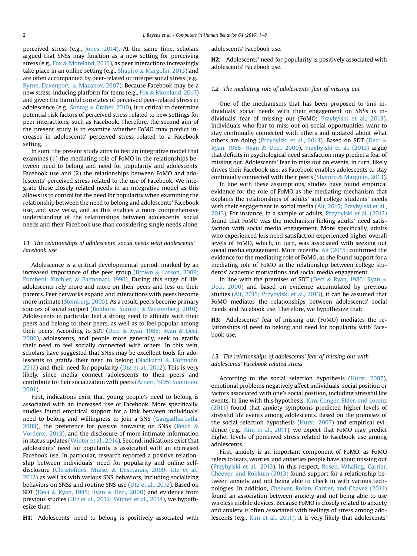perceived stress (e.g., [Jones, 2014](#page-7-0)). At the same time, scholars argued that SNSs may function as a new setting for perceiving stress (e.g., [Fox](#page-7-0) & [Moreland, 2015\)](#page-7-0), as peer interactions increasingly take place in an online setting (e.g., [Shapiro](#page-7-0) & [Margolin, 2013](#page-7-0)) and are often accompanied by peer-related or interpersonal stress (e.g., [Byrne, Davenport,](#page-7-0) & [Mazanov, 2007](#page-7-0)). Because Facebook may be a new stress-inducing platform for teens (e.g., [Fox](#page-7-0) & [Moreland, 2015\)](#page-7-0) and given the harmful correlates of perceived peer-related stress in adolescence (e.g., [Sontag](#page-7-0) & [Graber, 2010](#page-7-0)), it is critical to determine potential risk factors of perceived stress related to new settings for peer interactions, such as Facebook. Therefore, the second aim of the present study is to examine whether FoMO may predict increases in adolescents' perceived stress related to a Facebook setting.

In sum, the present study aims to test an integrative model that examines (1) the mediating role of FoMO in the relationships between need to belong and need for popularity and adolescents' Facebook use and (2) the relationships between FoMO and adolescents' perceived stress related to the use of Facebook. We integrate these closely related needs in an integrative model as this allows us to control for the need for popularity when examining the relationship between the need to belong and adolescents' Facebook use, and vice versa, and as this enables a more comprehensive understanding of the relationships between adolescents' social needs and their Facebook use than considering single needs alone.

### 1.1. The relationships of adolescents' social needs with adolescents' Facebook use

Adolescence is a critical developmental period, marked by an increased importance of the peer group ([Brown](#page-7-0) & [Larson, 2009;](#page-7-0) [Pombeni, Kirchler,](#page-7-0) & [Palmonari, 1990](#page-7-0)). During this stage of life, adolescents rely more and more on their peers and less on their parents. Peer networks expand and interactions with peers become more intimate [\(Steinberg, 2005](#page-7-0)). As a result, peers become primary sources of social support [\(Bokhorst, Sumter,](#page-7-0) & [Westenberg, 2010\)](#page-7-0). Adolescents in particular feel a strong need to affiliate with their peers and belong to their peers, as well as to feel popular among their peers. According to SDT ([Deci](#page-7-0) & [Ryan, 1985; Ryan](#page-7-0) & [Deci,](#page-7-0) [2000](#page-7-0)), adolescents, and people more generally, seek to gratify their need to feel socially connected with others. In this vein, scholars have suggested that SNSs may be excellent tools for adolescents to gratify their need to belong [\(Nadkarni](#page-7-0) & [Hofmann,](#page-7-0) [2012](#page-7-0)) and their need for popularity ([Utz et al., 2012](#page-8-0)). This is very likely, since media connect adolescents to their peers and contribute to their socialization with peers [\(Arnett, 1995; Suoninen,](#page-7-0) [2001\)](#page-7-0).

First, indications exist that young people's need to belong is associated with an increased use of Facebook. More specifically, studies found empirical support for a link between individuals' need to belong and willingness to join a SNS [\(Gangadharbatla,](#page-7-0) [2008](#page-7-0)), the preference for passive browsing on SNSs [\(Reich](#page-7-0)  $\&$ [Vorderer, 2013](#page-7-0)), and the disclosure of more intimate information in status updates ([Winter et al., 2014](#page-8-0)). Second, indications exist that adolescents' need for popularity is associated with an increased Facebook use. In particular, research reported a positive relationship between individuals' need for popularity and online selfdisclosure (Christofi[des, Muise,](#page-7-0) & [Desmarais, 2009; Utz et al.,](#page-7-0) [2012](#page-7-0)) as well as with various SNS behaviors, including socializing behaviors on SNSs and routine SNS use [\(Utz et al., 2012\)](#page-8-0). Based on SDT ([Deci](#page-7-0) & [Ryan, 1985; Ryan](#page-7-0) & [Deci, 2000\)](#page-7-0) and evidence from previous studies [\(Utz et al., 2012; Winter et al., 2014](#page-8-0)), we hypothesize that:

**H1:** Adolescents' need to belong is positively associated with

adolescents' Facebook use.

H2: Adolescents' need for popularity is positively associated with adolescents' Facebook use.

#### 1.2. The mediating role of adolescents' fear of missing out

One of the mechanisms that has been proposed to link individuals' social needs with their engagement on SNSs is individuals' fear of missing out (FoMO; [Przybylski et al., 2013\)](#page-7-0). Individuals who fear to miss out on social opportunities want to stay continually connected with others and updated about what others are doing ([Przybylski et al., 2013\)](#page-7-0). Based on SDT [\(Deci](#page-7-0) & [Ryan, 1985; Ryan](#page-7-0) & [Deci, 2000\)](#page-7-0), [Przybylski et al. \(2013\)](#page-7-0) argue that deficits in psychological need satisfaction may predict a fear of missing out. Adolescents' fear to miss out on events, in turn, likely drives their Facebook use, as Facebook enables adolescents to stay continually connected with their peers [\(Shapiro](#page-7-0) & [Margolin, 2013\)](#page-7-0).

In line with these assumptions, studies have found empirical evidence for the role of FoMO as the mediating mechanism that explains the relationships of adults' and college students' needs with their engagement in social media [\(Alt, 2015; Przybylski et al.,](#page-7-0) [2013\)](#page-7-0). For instance, in a sample of adults, [Przybylski et al. \(2013\)](#page-7-0) found that FoMO was the mechanism linking adults' need satisfaction with social media engagement. More specifically, adults who experienced less need satisfaction experienced higher overall levels of FoMO, which, in turn, was associated with seeking out social media engagement. More recently, [Alt \(2015\)](#page-7-0) confirmed the evidence for the mediating role of FoMO, as she found support for a mediating role of FoMO in the relationship between college students' academic motivations and social media engagement.

In line with the premises of SDT [\(Deci](#page-7-0) & [Ryan, 1985; Ryan](#page-7-0) & [Deci, 2000\)](#page-7-0) and based on evidence accumulated by previous studies ([Alt, 2015; Przybylski et al., 2013](#page-7-0)), it can be assumed that FoMO mediates the relationships between adolescents' social needs and Facebook use. Therefore, we hypothesize that:

H3: Adolescents' fear of missing out (FoMO) mediates the relationships of need to belong and need for popularity with Facebook use.

## 1.3. The relationships of adolescents' fear of missing out with adolescents' Facebook related stress

According to the social selection hypothesis ([Hurst, 2007\)](#page-7-0), emotional problems negatively affect individuals' social position or factors associated with one's social position, including stressful life events. In line with this hypothesis, [Kim, Conger, Elder, and Lorenz](#page-7-0) [\(2011\)](#page-7-0) found that anxiety symptoms predicted higher levels of stressful life events among adolescents. Based on the premises of the social selection hypothesis [\(Hurst, 2007](#page-7-0)) and empirical evidence (e.g., [Kim et al., 2011](#page-7-0)), we expect that FoMO may predict higher levels of perceived stress related to Facebook use among adolescents.

First, anxiety is an important component of FoMO, as FoMO refers to fears, worries, and anxieties people have about missing out ([Przybylski et al., 2013](#page-7-0)). In this respect, [Rosen, Whaling, Carrier,](#page-7-0) [Cheever, and Rokkum \(2013\)](#page-7-0) found support for a relationship between anxiety and not being able to check in with various technologies. In addition, [Cheever, Rosen, Carrier, and Chavez \(2014\)](#page-7-0) found an association between anxiety and not being able to use wireless mobile devices. Because FoMO is closely related to anxiety and anxiety is often associated with feelings of stress among adolescents (e.g., [Kim et al., 2011\)](#page-7-0), it is very likely that adolescents'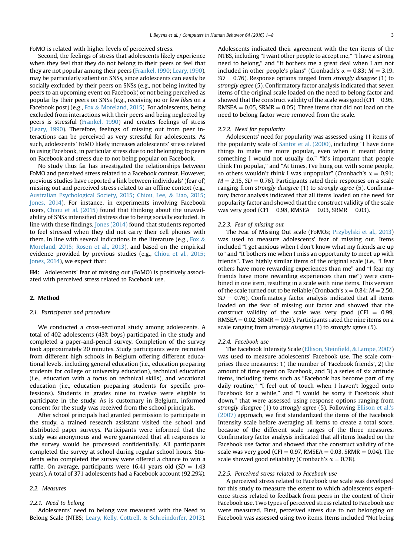FoMO is related with higher levels of perceived stress.

Second, the feelings of stress that adolescents likely experience when they feel that they do not belong to their peers or feel that they are not popular among their peers [\(Frankel, 1990](#page-7-0); [Leary, 1990\)](#page-7-0), may be particularly salient on SNSs, since adolescents can easily be socially excluded by their peers on SNSs (e.g., not being invited by peers to an upcoming event on Facebook) or not being perceived as popular by their peers on SNSs (e.g., receiving no or few likes on a Facebook post) (e.g., [Fox](#page-7-0) & [Moreland, 2015](#page-7-0)). For adolescents, being excluded from interactions with their peers and being neglected by peers is stressful [\(Frankel, 1990](#page-7-0)) and creates feelings of stress ([Leary, 1990\)](#page-7-0). Therefore, feelings of missing out from peer interactions can be perceived as very stressful for adolescents. As such, adolescents' FoMO likely increases adolescents' stress related to using Facebook, in particular stress due to not belonging to peers on Facebook and stress due to not being popular on Facebook.

No study thus far has investigated the relationships between FoMO and perceived stress related to a Facebook context. However, previous studies have reported a link between individuals' (fear of) missing out and perceived stress related to an offline context (e.g., [Australian Psychological Society, 2015; Chiou, Lee,](#page-7-0) & [Liao, 2015;](#page-7-0) [Jones, 2014\)](#page-7-0). For instance, in experiments involving Facebook users, [Chiou et al. \(2015\)](#page-7-0) found that thinking about the unavailability of SNSs intensified distress due to being socially excluded. In line with these findings, [Jones \(2014\)](#page-7-0) found that students reported to feel stressed when they did not carry their cell phones with them. In line with several indications in the literature (e.g., [Fox](#page-7-0)  $\&$ [Moreland, 2015; Rosen et al., 2013\)](#page-7-0), and based on the empirical evidence provided by previous studies (e.g., [Chiou et al., 2015;](#page-7-0) [Jones, 2014](#page-7-0)), we expect that:

H4: Adolescents' fear of missing out (FoMO) is positively associated with perceived stress related to Facebook use.

#### 2. Method

#### 2.1. Participants and procedure

We conducted a cross-sectional study among adolescents. A total of 402 adolescents (43% boys) participated in the study and completed a paper-and-pencil survey. Completion of the survey took approximately 20 minutes. Study participants were recruited from different high schools in Belgium offering different educational levels, including general education (i.e., education preparing students for college or university education), technical education (i.e., education with a focus on technical skills), and vocational education (i.e., education preparing students for specific professions). Students in grades nine to twelve were eligible to participate in the study. As is customary in Belgium, informed consent for the study was received from the school principals.

After school principals had granted permission to participate in the study, a trained research assistant visited the school and distributed paper surveys. Participants were informed that the study was anonymous and were guaranteed that all responses to the survey would be processed confidentially. All participants completed the survey at school during regular school hours. Students who completed the survey were offered a chance to win a raffle. On average, participants were 16.41 years old  $(SD = 1.43)$ years). A total of 371 adolescents had a Facebook account (92.29%).

#### 2.2. Measures

#### 2.2.1. Need to belong

Adolescents' need to belong was measured with the Need to Belong Scale (NTBS; [Leary, Kelly, Cottrell,](#page-7-0) & [Schreindorfer, 2013\)](#page-7-0). Adolescents indicated their agreement with the ten items of the NTBS, including "I want other people to accept me," "I have a strong need to belong," and "It bothers me a great deal when I am not included in other people's plans" (Cronbach's  $\alpha = 0.83$ ;  $M = 3.19$ ,  $SD = 0.76$ ). Response options ranged from strongly disagree (1) to strongly agree (5). Confirmatory factor analysis indicated that seven items of the original scale loaded on the need to belong factor and showed that the construct validity of the scale was good (CFI  $= 0.95$ ,  $RMSEA = 0.05$ ,  $SRMR = 0.05$ ). Three items that did not load on the need to belong factor were removed from the scale.

#### 2.2.2. Need for popularity

Adolescents' need for popularity was assessed using 11 items of the popularity scale of [Santor et al. \(2000\)](#page-7-0), including "I have done things to make me more popular, even when it meant doing something I would not usually do," "It's important that people think I'm popular," and "At times, I've hung out with some people, so others wouldn't think I was unpopular" (Cronbach's  $\alpha = 0.91$ ;  $M = 2.15$ ,  $SD = 0.76$ ). Participants rated their responses on a scale ranging from strongly disagree (1) to strongly agree (5). Confirmatory factor analysis indicated that all items loaded on the need for popularity factor and showed that the construct validity of the scale was very good (CFI = 0.98, RMSEA = 0.03, SRMR = 0.03).

#### 2.2.3. Fear of missing out

The Fear of Missing Out scale (FoMOs; [Przybylski et al., 2013\)](#page-7-0) was used to measure adolescents' fear of missing out. Items included "I get anxious when I don't know what my friends are up to" and "It bothers me when I miss an opportunity to meet up with friends". Two highly similar items of the original scale (i.e., "I fear others have more rewarding experiences than me" and "I fear my friends have more rewarding experiences than me") were combined in one item, resulting in a scale with nine items. This version of the scale turned out to be reliable (Cronbach's  $\alpha = 0.84$ ;  $M = 2.50$ ,  $SD = 0.76$ ). Confirmatory factor analysis indicated that all items loaded on the fear of missing out factor and showed that the construct validity of the scale was very good (CFI  $= 0.99$ ,  $RMSEA = 0.02$ ,  $SRMR = 0.03$ ). Participants rated the nine items on a scale ranging from strongly disagree (1) to strongly agree (5).

#### 2.2.4. Facebook use

The Facebook Intensity Scale [\(Ellison, Stein](#page-7-0)field, & [Lampe, 2007\)](#page-7-0) was used to measure adolescents' Facebook use. The scale comprises three measures: 1) the number of 'Facebook friends', 2) the amount of time spent on Facebook, and 3) a series of six attitude items, including items such as "Facebook has become part of my daily routine," "I feel out of touch when I haven't logged onto Facebook for a while," and "I would be sorry if Facebook shut down," that were assessed using response options ranging from strongly disagree (1) to strongly agree (5). Following [Ellison et al.](#page-7-0)'s [\(2007\)](#page-7-0) approach, we first standardized the items of the Facebook Intensity scale before averaging all items to create a total score, because of the different scale ranges of the three measures. Confirmatory factor analysis indicated that all items loaded on the Facebook use factor and showed that the construct validity of the scale was very good (CFI = 0.97, RMSEA = 0.03, SRMR = 0.04). The scale showed good reliability (Cronbach's  $\alpha = 0.78$ ).

#### 2.2.5. Perceived stress related to Facebook use

A perceived stress related to Facebook use scale was developed for this study to measure the extent to which adolescents experience stress related to feedback from peers in the context of their Facebook use. Two types of perceived stress related to Facebook use were measured. First, perceived stress due to not belonging on Facebook was assessed using two items. Items included "Not being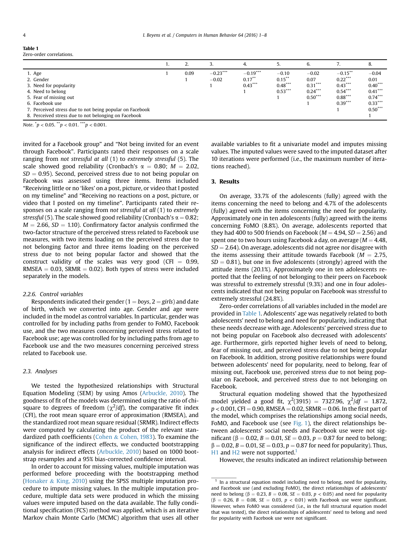<span id="page-4-0"></span>

| Table 1 |  |                         |
|---------|--|-------------------------|
|         |  | Zero-order correlations |

|                                                                                                                                                                                                                                     |      |                       | 4.                                   |                                                | 6.                                                     |                                                                             | 8.                                                                               |
|-------------------------------------------------------------------------------------------------------------------------------------------------------------------------------------------------------------------------------------|------|-----------------------|--------------------------------------|------------------------------------------------|--------------------------------------------------------|-----------------------------------------------------------------------------|----------------------------------------------------------------------------------|
| 1. Age<br>2. Gender<br>3. Need for popularity<br>4. Need to belong<br>5. Fear of missing out<br>6. Facebook use<br>7. Perceived stress due to not being popular on Facebook<br>8. Perceived stress due to not belonging on Facebook | 0.09 | $-0.23***$<br>$-0.02$ | $-0.19***$<br>$0.17***$<br>$0.43***$ | $-0.10$<br>$0.15***$<br>$0.48***$<br>$0.53***$ | $-0.02$<br>0.07<br>$0.31***$<br>$0.24***$<br>$0.50***$ | $-0.15$ **<br>$0.22***$<br>$0.43***$<br>$0.54***$<br>$0.88***$<br>$0.39***$ | $-0.04$<br>0.01<br>$0.40***$<br>$0.41***$<br>$0.74***$<br>$0.33***$<br>$0.50***$ |

Note.  $^*p < 0.05$ .  $^{**}p < 0.01$ .  $^{***}p < 0.001$ .

invited for a Facebook group" and "Not being invited for an event through Facebook". Participants rated their responses on a scale ranging from not stressful at all (1) to extremely stressful (5). The scale showed good reliability (Cronbach's  $\alpha = 0.80$ ;  $M = 2.02$ ,  $SD = 0.95$ ). Second, perceived stress due to not being popular on Facebook was assessed using three items. Items included "Receiving little or no 'likes' on a post, picture, or video that I posted on my timeline" and "Receiving no reactions on a post, picture, or video that I posted on my timeline". Participants rated their responses on a scale ranging from not stressful at all (1) to extremely stressful (5). The scale showed good reliability (Cronbach's  $\alpha = 0.82$ ;  $M = 2.66$ ,  $SD = 1.10$ ). Confirmatory factor analysis confirmed the two-factor structure of the perceived stress related to Facebook use measures, with two items loading on the perceived stress due to not belonging factor and three items loading on the perceived stress due to not being popular factor and showed that the construct validity of the scales was very good (CFI  $= 0.99$ , RMSEA  $= 0.03$ , SRMR  $= 0.02$ ). Both types of stress were included separately in the models.

#### 2.2.6. Control variables

Respondents indicated their gender ( $1 = boys$ ,  $2 = girls$ ) and date of birth, which we converted into age. Gender and age were included in the model as control variables. In particular, gender was controlled for by including paths from gender to FoMO, Facebook use, and the two measures concerning perceived stress related to Facebook use; age was controlled for by including paths from age to Facebook use and the two measures concerning perceived stress related to Facebook use.

### 2.3. Analyses

We tested the hypothesized relationships with Structural Equation Modeling (SEM) by using Amos [\(Arbuckle, 2010](#page-7-0)). The goodness of fit of the models was determined using the ratio of chisquare to degrees of freedom  $(\chi^2/df)$ , the comparative fit index (CFI), the root mean square error of approximation (RMSEA), and the standardized root mean square residual (SRMR). Indirect effects were computed by calculating the product of the relevant standardized path coefficients [\(Cohen](#page-7-0) & [Cohen, 1983\)](#page-7-0). To examine the significance of the indirect effects, we conducted bootstrapping analysis for indirect effects ([Arbuckle, 2010](#page-7-0)) based on 1000 bootstrap resamples and a 95% bias-corrected confidence interval.

In order to account for missing values, multiple imputation was performed before proceeding with the bootstrapping method ([Honaker](#page-7-0) & [King, 2010](#page-7-0)) using the SPSS multiple imputation procedure to impute missing values. In the multiple imputation procedure, multiple data sets were produced in which the missing values were imputed based on the data available. The fully conditional specification (FCS) method was applied, which is an iterative Markov chain Monte Carlo (MCMC) algorithm that uses all other available variables to fit a univariate model and imputes missing values. The imputed values were saved to the imputed dataset after 10 iterations were performed (i.e., the maximum number of iterations reached).

## 3. Results

On average, 33.7% of the adolescents (fully) agreed with the items concerning the need to belong and 4.7% of the adolescents (fully) agreed with the items concerning the need for popularity. Approximately one in ten adolescents (fully) agreed with the items concerning FoMO (8.8%). On average, adolescents reported that they had 400 to 500 friends on Facebook ( $M = 4.94$ ,  $SD = 2.56$ ) and spent one to two hours using Facebook a day, on average ( $M = 4.48$ ,  $SD = 2.64$ ). On average, adolescents did not agree nor disagree with the items assessing their attitude towards Facebook ( $M = 2.75$ ,  $SD = 0.81$ ), but one in five adolescents (strongly) agreed with the attitude items (20.1%). Approximately one in ten adolescents reported that the feeling of not belonging to their peers on Facebook was stressful to extremely stressful (9.3%) and one in four adolescents indicated that not being popular on Facebook was stressful to extremely stressful (24.8%).

Zero-order correlations of all variables included in the model are provided in Table 1. Adolescents' age was negatively related to both adolescents' need to belong and need for popularity, indicating that these needs decrease with age. Adolescents' perceived stress due to not being popular on Facebook also decreased with adolescents' age. Furthermore, girls reported higher levels of need to belong, fear of missing out, and perceived stress due to not being popular on Facebook. In addition, strong positive relationships were found between adolescents' need for popularity, need to belong, fear of missing out, Facebook use, perceived stress due to not being popular on Facebook, and perceived stress due to not belonging on Facebook.

Structural equation modeling showed that the hypothesized model yielded a good fit,  $\chi^2(3915) = 7327.96$ ,  $\chi^2/df = 1.872$ ,  $p < 0.001$ , CFI = 0.90, RMSEA = 0.02, SRMR = 0.06. In the first part of the model, which comprises the relationships among social needs, FoMO, and Facebook use (see [Fig. 1\)](#page-5-0), the direct relationships between adolescents' social needs and Facebook use were not significant ( $\beta = 0.02$ ,  $B = 0.01$ ,  $SE = 0.03$ ,  $p = 0.87$  for need to belong;  $\beta = 0.02, B = 0.01, SE = 0.03, p = 0.87$  for need for popularity). Thus, H<sub>1</sub> and H<sub>2</sub> were not supported.<sup>1</sup>

However, the results indicated an indirect relationship between

 $1$  In a structural equation model including need to belong, need for popularity, and Facebook use (and excluding FoMO), the direct relationships of adolescents' need to belong ( $\beta = 0.23$ ,  $B = 0.08$ ,  $SE = 0.03$ ,  $p < 0.05$ ) and need for popularity ( $\beta$  = 0.26, B = 0.08, SE = 0.03, p < 0.01) with Facebook use were significant. However, when FoMO was considered (i.e., in the full structural equation model that was tested), the direct relationships of adolescents' need to belong and need for popularity with Facebook use were not significant.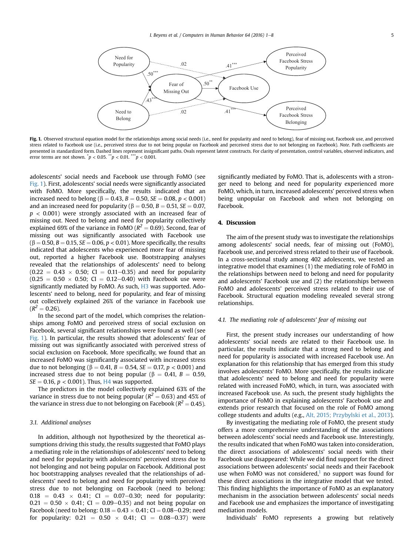<span id="page-5-0"></span>

Fig. 1. Observed structural equation model for the relationships among social needs (i.e., need for popularity and need to belong), fear of missing out, Facebook use, and perceived stress related to Facebook use (i.e., perceived stress due to not being popular on Facebook and perceived stress due to not belonging on Facebook). Note. Path coefficients are presented in standardized form. Dashed lines represent insignificant paths. Ovals represent latent constructs. For clarity of presentation, control variables, observed indicators, and error terms are not shown.  $^{*}p < 0.05$ .  $^{**}p < 0.01$ .  $^{***}p < 0.001$ .

adolescents' social needs and Facebook use through FoMO (see Fig. 1). First, adolescents' social needs were significantly associated with FoMO. More specifically, the results indicated that an increased need to belong ( $\beta = 0.43$ ,  $B = 0.50$ ,  $SE = 0.08$ ,  $p < 0.001$ ) and an increased need for popularity ( $\beta = 0.50$ ,  $B = 0.51$ ,  $SE = 0.07$ ,  $p < 0.001$ ) were strongly associated with an increased fear of missing out. Need to belong and need for popularity collectively explained 69% of the variance in FoMO ( $R<sup>2</sup> = 0.69$ ). Second, fear of missing out was significantly associated with Facebook use  $(\beta = 0.50, B = 0.15, SE = 0.06, p < 0.01)$ . More specifically, the results indicated that adolescents who experienced more fear of missing out, reported a higher Facebook use. Bootstrapping analyses revealed that the relationships of adolescents' need to belong  $(0.22 = 0.43 \times 0.50; C1 = 0.11 - 0.35)$  and need for popularity  $(0.25 = 0.50 \times 0.50; C1 = 0.12 - 0.40)$  with Facebook use were significantly mediated by FoMO. As such, H<sub>3</sub> was supported. Adolescents' need to belong, need for popularity, and fear of missing out collectively explained 26% of the variance in Facebook use  $(R^2 = 0.26)$ .

In the second part of the model, which comprises the relationships among FoMO and perceived stress of social exclusion on Facebook, several significant relationships were found as well (see Fig. 1). In particular, the results showed that adolescents' fear of missing out was significantly associated with perceived stress of social exclusion on Facebook. More specifically, we found that an increased FoMO was significantly associated with increased stress due to not belonging ( $\beta = 0.41$ ,  $B = 0.54$ ,  $SE = 0.17$ ,  $p < 0.001$ ) and increased stress due to not being popular ( $\beta = 0.41$ ,  $B = 0.59$ ,  $SE = 0.16$ ,  $p < 0.001$ ). Thus, H4 was supported.

The predictors in the model collectively explained 63% of the variance in stress due to not being popular ( $R^2 = 0.63$ ) and 45% of the variance in stress due to not belonging on Facebook ( $R^2 = 0.45$ ).

#### 3.1. Additional analyses

In addition, although not hypothesized by the theoretical assumptions driving this study, the results suggested that FoMO plays a mediating role in the relationships of adolescents' need to belong and need for popularity with adolescents' perceived stress due to not belonging and not being popular on Facebook. Additional post hoc bootstrapping analyses revealed that the relationships of adolescents' need to belong and need for popularity with perceived stress due to not belonging on Facebook (need to belong:  $0.18 = 0.43 \times 0.41$ ; CI = 0.07-0.30; need for popularity:  $0.21 = 0.50 \times 0.41$ ; CI = 0.09–0.35) and not being popular on Facebook (need to belong:  $0.18 = 0.43 \times 0.41$ ; CI = 0.08-0.29; need for popularity:  $0.21 = 0.50 \times 0.41$ ; CI = 0.08-0.37) were significantly mediated by FoMO. That is, adolescents with a stronger need to belong and need for popularity experienced more FoMO, which, in turn, increased adolescents' perceived stress when being unpopular on Facebook and when not belonging on Facebook.

#### 4. Discussion

The aim of the present study was to investigate the relationships among adolescents' social needs, fear of missing out (FoMO), Facebook use, and perceived stress related to their use of Facebook. In a cross-sectional study among 402 adolescents, we tested an integrative model that examines (1) the mediating role of FoMO in the relationships between need to belong and need for popularity and adolescents' Facebook use and (2) the relationships between FoMO and adolescents' perceived stress related to their use of Facebook. Structural equation modeling revealed several strong relationships.

#### 4.1. The mediating role of adolescents' fear of missing out

First, the present study increases our understanding of how adolescents' social needs are related to their Facebook use. In particular, the results indicate that a strong need to belong and need for popularity is associated with increased Facebook use. An explanation for this relationship that has emerged from this study involves adolescents' FoMO. More specifically, the results indicate that adolescents' need to belong and need for popularity were related with increased FoMO, which, in turn, was associated with increased Facebook use. As such, the present study highlights the importance of FoMO in explaining adolescents' Facebook use and extends prior research that focused on the role of FoMO among college students and adults (e.g., [Alt, 2015; Przybylski et al., 2013\)](#page-7-0).

By investigating the mediating role of FoMO, the present study offers a more comprehensive understanding of the associations between adolescents' social needs and Facebook use. Interestingly, the results indicated that when FoMO was taken into consideration, the direct associations of adolescents' social needs with their Facebook use disappeared: While we did find support for the direct associations between adolescents' social needs and their Facebook use when FoMO was not considered, $\frac{1}{1}$  $\frac{1}{1}$  $\frac{1}{1}$  no support was found for these direct associations in the integrative model that we tested. This finding highlights the importance of FoMO as an explanatory mechanism in the association between adolescents' social needs and Facebook use and emphasizes the importance of investigating mediation models.

Individuals' FoMO represents a growing but relatively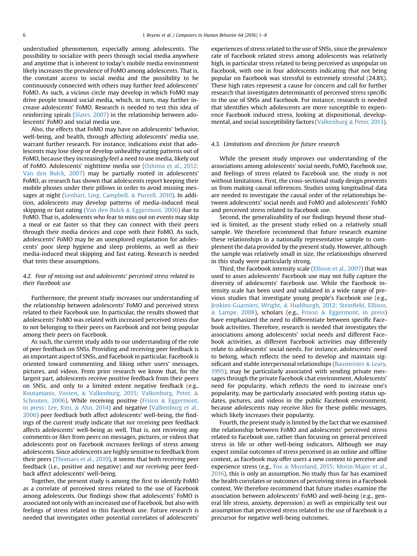understudied phenomenon, especially among adolescents. The possibility to socialize with peers through social media anywhere and anytime that is inherent to today's mobile media environment likely increases the prevalence of FoMO among adolescents. That is, the constant access to social media and the possibility to be continuously connected with others may further feed adolescents' FoMO. As such, a vicious circle may develop in which FoMO may drive people toward social media, which, in turn, may further increase adolescents' FoMO. Research is needed to test this idea of reinforcing spirals [\(Slater, 2007](#page-7-0)) in the relationship between adolescents' FoMO and social media use.

Also, the effects that FoMO may have on adolescents' behavior, well-being, and health, through affecting adolescents' media use, warrant further research. For instance, indications exist that adolescents may lose sleep or develop unhealthy eating patterns out of FoMO, because they increasingly feel a need to use media, likely out of FoMO. Adolescents' nighttime media use ([Oshima et al., 2012;](#page-7-0) [Van den Bulck, 2007\)](#page-7-0) may be partially rooted in adolescents' FoMO, as research has shown that adolescents report keeping their mobile phones under their pillows in order to avoid missing messages at night [\(Lenhart, Ling, Campbell,](#page-7-0) & [Purcell, 2010\)](#page-7-0). In addition, adolescents may develop patterns of media-induced meal skipping or fast eating [\(Van den Bulck](#page-8-0) & [Eggermont, 2006](#page-8-0)) due to FoMO. That is, adolescents who fear to miss out on events may skip a meal or eat faster so that they can connect with their peers through their media devices and cope with their FoMO. As such, adolescents' FoMO may be an unexplored explanation for adolescents' poor sleep hygiene and sleep problems, as well as their media-induced meal skipping and fast eating. Research is needed that tests these assumptions.

#### 4.2. Fear of missing out and adolescents' perceived stress related to their Facebook use

Furthermore, the present study increases our understanding of the relationship between adolescents' FoMO and perceived stress related to their Facebook use. In particular, the results showed that adolescents' FoMO was related with increased perceived stress due to not belonging to their peers on Facebook and not being popular among their peers on Facebook.

As such, the current study adds to our understanding of the role of peer feedback on SNSs. Providing and receiving peer feedback is an important aspect of SNSs, and Facebook in particular. Facebook is oriented toward commenting and liking other users' messages, pictures, and videos. From prior research we know that, for the largest part, adolescents receive positive feedback from their peers on SNSs, and only to a limited extent negative feedback (e.g., [Koutamanis, Vossen,](#page-7-0) & [Valkenburg, 2015; Valkenburg, Peter,](#page-7-0) & [Schouten, 2006\)](#page-7-0). While receiving positive [\(Frison](#page-7-0) & [Eggermont,](#page-7-0) [in press; Lee, Kim,](#page-7-0) & [Ahn, 2014](#page-7-0)) and negative ([Valkenburg et al.,](#page-8-0) [2006](#page-8-0)) peer feedback both affect adolescents' well-being, the findings of the current study indicate that not receiving peer feedback affects adolescents' well-being as well. That is, not receiving any comments or likes from peers on messages, pictures, or videos that adolescents post on Facebook increases feelings of stress among adolescents. Since adolescents are highly sensitive to feedback from their peers ([Thomaes et al., 2010](#page-8-0)), it seems that both receiving peer feedback (i.e., positive and negative) and not receiving peer feedback affect adolescents' well-being.

Together, the present study is among the first to identify FoMO as a correlate of perceived stress related to the use of Facebook among adolescents. Our findings show that adolescents' FoMO is associated not only with an increased use of Facebook, but also with feelings of stress related to this Facebook use. Future research is needed that investigates other potential correlates of adolescents'

experiences of stress related to the use of SNSs, since the prevalence rate of Facebook related stress among adolescents was relatively high, in particular stress related to being perceived as unpopular on Facebook, with one in four adolescents indicating that not being popular on Facebook was stressful to extremely stressful (24.8%). These high rates represent a cause for concern and call for further research that investigates determinants of perceived stress specific to the use of SNSs and Facebook. For instance, research is needed that identifies which adolescents are more susceptible to experience Facebook induced stress, looking at dispositional, developmental, and social susceptibility factors [\(Valkenburg](#page-8-0) & [Peter, 2013\)](#page-8-0).

#### 4.3. Limitations and directions for future research

While the present study improves our understanding of the associations among adolescents' social needs, FoMO, Facebook use, and feelings of stress related to Facebook use, the study is not without limitations. First, the cross-sectional study design prevents us from making causal inferences. Studies using longitudinal data are needed to investigate the causal order of the relationships between adolescents' social needs and FoMO and adolescents' FoMO and perceived stress related to Facebook use.

Second, the generalizability of our findings beyond those studied is limited, as the present study relied on a relatively small sample. We therefore recommend that future research examine these relationships in a nationally representative sample to complement the data provided by the present study. However, although the sample was relatively small in size, the relationships observed in this study were particularly strong.

Third, the Facebook intensity scale ([Ellison et al., 2007\)](#page-7-0) that was used to asses adolescents' Facebook use may not fully capture the diversity of adolescents' Facebook use. While the Facebook intensity scale has been used and validated in a wide range of previous studies that investigate young people's Facebook use (e.g., [Jenkins-Guarnieri, Wright,](#page-7-0) & [Hudiburgh, 2012; Stein](#page-7-0)field, Ellison,  $&$  [Lampe, 2008\)](#page-7-0), scholars (e.g., [Frison](#page-7-0)  $&$  [Eggermont, in press\)](#page-7-0) have emphasized the need to differentiate between specific Facebook activities. Therefore, research is needed that investigates the associations among adolescents' social needs and different Facebook activities, as different Facebook activities may differently relate to adolescents' social needs. For instance, adolescents' need to belong, which reflects the need to develop and maintain sig-nificant and stable interpersonal relationships [\(Baumeister](#page-7-0)  $\&$  [Leary,](#page-7-0) [1995](#page-7-0)), may be particularly associated with sending private messages through the private Facebook chat environment. Adolescents' need for popularity, which reflects the need to increase one's popularity, may be particularly associated with posting status updates, pictures, and videos in the public Facebook environment, because adolescents may receive likes for these public messages, which likely increases their popularity.

Fourth, the present study is limited by the fact that we examined the relationship between FoMO and adolescents' perceived stress related to Facebook use, rather than focusing on general perceived stress in life or other well-being indicators. Although we may expect similar outcomes of stress perceived in an online and offline context, as Facebook may offer users a new context to perceive and experience stress (e.g., [Fox](#page-7-0) & [Moreland, 2015; Morin-Major et al.,](#page-7-0) [2016\)](#page-7-0), this is only an assumption. No study thus far has examined the health correlates or outcomes of perceiving stress in a Facebook context. We therefore recommend that future studies examine the association between adolescents' FoMO and well-being (e.g., general life stress, anxiety, depression) as well as empirically test our assumption that perceived stress related to the use of Facebook is a precursor for negative well-being outcomes.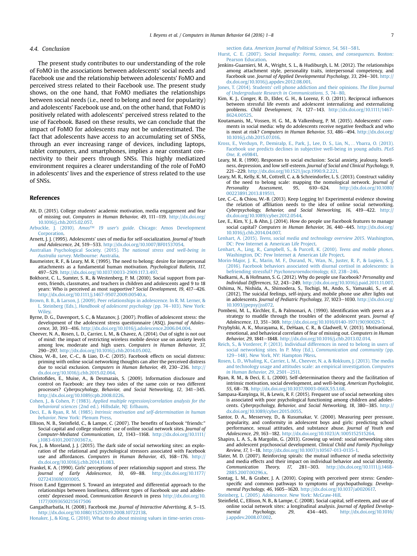#### <span id="page-7-0"></span>4.4. Conclusion

The present study contributes to our understanding of the role of FoMO in the associations between adolescents' social needs and Facebook use and the relationship between adolescents' FoMO and perceived stress related to their Facebook use. The present study shows, on the one hand, that FoMO mediates the relationships between social needs (i.e., need to belong and need for popularity) and adolescents' Facebook use and, on the other hand, that FoMO is positively related with adolescents' perceived stress related to the use of Facebook. Based on these results, we can conclude that the impact of FoMO for adolescents may not be underestimated. The fact that adolescents have access to an accumulating set of SNSs, through an ever increasing range of devices, including laptops, tablet computers, and smartphones, implies a near constant connectivity to their peers through SNSs. This highly mediatized environment requires a clearer understanding of the role of FoMO in adolescents' lives and the experience of stress related to the use of SNSs.

#### References

- Alt, D. (2015). College students' academic motivation, media engagement and fear of missing out. Computers in Human Behavior, 49, 111-119. [http://dx.doi.org/](http://dx.doi.org/10.1016/j.chb.2015.02.057) [10.1016/j.chb.2015.02.057.](http://dx.doi.org/10.1016/j.chb.2015.02.057)
- Arbuckle, J. (2010). Amos™ 19 user's guide[. Chicago: Amos Development](http://refhub.elsevier.com/S0747-5632(16)30419-8/sref2) [Corporation.](http://refhub.elsevier.com/S0747-5632(16)30419-8/sref2)
- Arnett, I. J. (1995). Adolescents' uses of media for self-socialization. Journal of Youth and Adolescence, 24, 519-533. [http://dx.doi.org/10.1007/BF01537054.](http://dx.doi.org/10.1007/BF01537054)
- [Australian Psychological Society. \(2015\).](http://refhub.elsevier.com/S0747-5632(16)30419-8/sref5) The national stress and well-being in Australia survey[. Melbourne: Australia](http://refhub.elsevier.com/S0747-5632(16)30419-8/sref5).
- Baumeister, R. F., & Leary, M. R. (1995). The need to belong: desire for interpersonal attachments as a fundamental human motivation. Psychological Bulletin, 117, 497-529. [http://dx.doi.org/10.1037/0033-2909.117.3.497.](http://dx.doi.org/10.1037/0033-2909.117.3.497)
- Bokhorst, C. L., Sumter, S. R., & Westenberg, P. M. (2010). Social support from parents, friends, classmates, and teachers in children and adolescents aged 9 to 18 years: Who is perceived as most supportive? Social Development, 19, 417-426. <http://dx.doi.org/10.1111/j.1467-9507.2009.00540.x>.
- [Brown, B. B., & Larson, J. \(2009\). Peer relationships in adolescence. In R. M. Lerner, &](http://refhub.elsevier.com/S0747-5632(16)30419-8/sref8) L. Steinberg (Eds.), [Handbook of adolescent psychology](http://refhub.elsevier.com/S0747-5632(16)30419-8/sref8) (pp. 74-[103\). New York:](http://refhub.elsevier.com/S0747-5632(16)30419-8/sref8) **Wiley**
- Byrne, D. G., Davenport, S. C., & Mazanov, J. (2007). Profiles of adolescent stress: the development of the adolescent stress questionnaire (ASQ). Journal of Adolescence, 30, 393-416. <http://dx.doi.org/10.1016/j.adolescence.2006.04.004>.
- Cheever, N. A., Rosen, L. D., Carrier, L. M., & Chavez, A. (2014). Out of sight is not out of mind: the impact of restricting wireless mobile device use on anxiety levels among low, moderate and high users. Computers in Human Behavior, 37, 290e297. [http://dx.doi.org/10.1016/j.chb.2014.05.002.](http://dx.doi.org/10.1016/j.chb.2014.05.002)
- Chiou, W.-B., Lee, C.-C., & Liao, D.-C. (2015). Facebook effects on social distress: priming with online social networking thoughts can alter the perceived distress due to social exclusion. Computers in Human Behavior, 49, 230-236. [http://](http://dx.doi.org/10.1016/j.chb.2015.02.064) [dx.doi.org/10.1016/j.chb.2015.02.064](http://dx.doi.org/10.1016/j.chb.2015.02.064).
- Christofides, E., Muise, A., & Desmarais, S. (2009). Information disclosure and control on Facebook: are they two sides of the same coin or two different processes? Cyberpscyhology, Behavior, and Social Networking, 12, 341-345. <http://dx.doi.org/10.1089/cpb.2008.0226>.
- Cohen, J., & Cohen, P. (1983). [Applied multiple regression/correlation analysis for the](http://refhub.elsevier.com/S0747-5632(16)30419-8/sref13) behavioral sciences [\(2nd ed.\). Hillsdale, NJ: Erlbaum.](http://refhub.elsevier.com/S0747-5632(16)30419-8/sref13)
- Deci, E., & Ryan, R. M. (1985). [Intrinsic motivation and self-determination in human](http://refhub.elsevier.com/S0747-5632(16)30419-8/sref15) behavior[. New York: Plenum Press](http://refhub.elsevier.com/S0747-5632(16)30419-8/sref15).
- Ellison, N. B., Steinfield, C., & Lampe, C. (2007). The benefits of facebook "friends:" Social capital and college students' use of online social network sites. Journal of Computer-Mediated Communication, 12, 1143-1168. [http://dx.doi.org/10.1111/](http://dx.doi.org/10.1111/j.1083-6101.2007.00367.x) [j.1083-6101.2007.00367.x](http://dx.doi.org/10.1111/j.1083-6101.2007.00367.x).
- Fox, J., & Moreland, J. J. (2015). The dark side of social networking sites: an exploration of the relational and psychological stressors associated with Facebook use and affordances. Computers in Human Behavior, 45, 168-176. [http://](http://dx.doi.org/10.1016/j.chb.2014.11.083) [dx.doi.org/10.1016/j.chb.2014.11.083](http://dx.doi.org/10.1016/j.chb.2014.11.083).
- Frankel, K. A. (1990). Girls' perceptions of peer relationship support and stress. The Journal of Early Adolescence, 10, 69-88. [http://dx.doi.org/10.1177/](http://dx.doi.org/10.1177/0272431690101005) [0272431690101005](http://dx.doi.org/10.1177/0272431690101005).
- Frison E.and Eggermont S. Toward an integrated and differential approach to the relationships between loneliness, different types of Facebook use and adolescents' depressed mood, Communication Research in press [http://dx.doi.org/10.](http://dx.doi.org/10.1177/0093650215617506) [1177/0093650215617506](http://dx.doi.org/10.1177/0093650215617506)

Gangadharbatla, H. (2008). Facebook me. Journal of Interactive Advertising, 8, 5-15. <http://dx.doi.org/10.1080/15252019.2008.10722138>.

[Honaker, J., & King, G. \(2010\). What to do about missing values in time-series cross-](http://refhub.elsevier.com/S0747-5632(16)30419-8/sref20)

section data. [American Journal of Political Science, 54](http://refhub.elsevier.com/S0747-5632(16)30419-8/sref20), 561-[581.](http://refhub.elsevier.com/S0747-5632(16)30419-8/sref20)

- Hurst, C. E. (2007). [Social Inequality: Forms, causes, and consequences](http://refhub.elsevier.com/S0747-5632(16)30419-8/sref21). Boston: [Pearson Education.](http://refhub.elsevier.com/S0747-5632(16)30419-8/sref21)
- Jenkins-Guarnieri, M. A., Wright, S. L., & Hudiburgh, L. M. (2012). The relationships among attachment style, personality traits, interpersonal competency, and Facebook use. Journal of Applied Developmental Psychology, 33, 294-301. [http://](http://dx.doi.org/10.1016/j.appdev.2012.08.001) [dx.doi.org/10.1016/j.appdev.2012.08.001.](http://dx.doi.org/10.1016/j.appdev.2012.08.001)
- Jones, T. (2014). Students' [cell phone addiction and their opinions.](http://refhub.elsevier.com/S0747-5632(16)30419-8/sref23) The Elon Journal of Undergraduate Research in Communications,  $5, 74-80$  $5, 74-80$ .
- Kim, K. J., Conger, R. D., Elder, G. H., & Lorenz, F. O. (2011). Reciprocal influences between stressful life events and adolescent internalizing and externalizing problems. Child Development, 74, 127-143. [http://dx.doi.org/10.1111/1467-](http://dx.doi.org/10.1111/1467-8624.00525) [8624.00525](http://dx.doi.org/10.1111/1467-8624.00525).
- Koutamanis, M., Vossen, H. G. M., & Valkenburg, P. M. (2015). Adolescents' comments in social media: why do adolescents receive negative feedback and who is most at risk? Computers in Human Behavior, 53, 486-494. [http://dx.doi.org/](http://dx.doi.org/10.1016/j.chb.2015.07.016) [10.1016/j.chb.2015.07.016](http://dx.doi.org/10.1016/j.chb.2015.07.016).
- [Kross, E., Verduyn, P., Demiralp, E., Park, J., Lee, D. S., Lin, N.,](http://refhub.elsevier.com/S0747-5632(16)30419-8/sref26) …Ybarra, O. (2013). [Facebook use predicts declines in subjective well-being in young adults.](http://refhub.elsevier.com/S0747-5632(16)30419-8/sref26) PLoS One, 8[, e69841.](http://refhub.elsevier.com/S0747-5632(16)30419-8/sref26)
- Leary, M. R. (1990). Responses to social exclusion: Social anxiety, jealousy, loneliness, depression, and low self-esteem. Journal of Social and Clinical Psychology, 9, 221e229. [http://dx.doi.org/10.1521/jscp.1990.9.2.221.](http://dx.doi.org/10.1521/jscp.1990.9.2.221)
- Leary, M. R., Kelly, K. M., Cottrell, C. a, & Schreindorfer, L. S. (2013). Construct validity of the need to belong scale: mapping the nomological network. Journal of Personality Assessment, 95, 610-624. [http://dx.doi.org/10.1080/](http://dx.doi.org/10.1080/00223891.2013.819511) [00223891.2013.819511.](http://dx.doi.org/10.1080/00223891.2013.819511)
- Lee, C.-C., & Chiou, W.-B. (2013). Keep Logging In! Experimental evidence showing the relation of affiliation needs to the idea of online social networking. Cyberpsychology, Behavior, and Social Networking, 16, 419–422. [http://](http://dx.doi.org/10.1089/cyber.2012.0544)<br>[dx.doi.org/10.1089/cyber.2012.0544.](http://dx.doi.org/10.1089/cyber.2012.0544)
- Lee, E., Kim, Y. J., & Ahn, J. (2014). How do people use Facebook features to manage social capital? Computers in Human Behavior, 36, 440-445. [http://dx.doi.org/](http://dx.doi.org/10.1016/j.chb.2014.04.007) [10.1016/j.chb.2014.04.007.](http://dx.doi.org/10.1016/j.chb.2014.04.007)
- Lenhart, A. (2015). [Teens, social media and technology overview 2015](http://refhub.elsevier.com/S0747-5632(16)30419-8/sref30). Washington, [DC: Pew Internet](http://refhub.elsevier.com/S0747-5632(16)30419-8/sref30) & [American Life Project.](http://refhub.elsevier.com/S0747-5632(16)30419-8/sref30)
- [Lenhart, A., Ling, R., Campbell, S., & Purcell, K. \(2010\).](http://refhub.elsevier.com/S0747-5632(16)30419-8/sref31) Teens and mobile phones. [Washington, DC: Pew Internet](http://refhub.elsevier.com/S0747-5632(16)30419-8/sref31) & [American Life Project.](http://refhub.elsevier.com/S0747-5632(16)30419-8/sref31)
- [Morin-Major, J. K., Marin, M. F., Durand, N., Wan, N., Juster, R. P., & Lupien, S. J.](http://refhub.elsevier.com/S0747-5632(16)30419-8/sref32) [\(2016\). Facebook behaviors associated with diurnal cortisol in adolescents: is](http://refhub.elsevier.com/S0747-5632(16)30419-8/sref32) befriending stressful? [Psychoneuroendocrinology, 63](http://refhub.elsevier.com/S0747-5632(16)30419-8/sref32), 238-[246](http://refhub.elsevier.com/S0747-5632(16)30419-8/sref32).
- Nadkarni, A., & Hofmann, S. G. (2012). Why do people use Facebook? Personality and Individual Differences, 52, 243-249. [http://dx.doi.org/10.1016/j.paid.2011.11.007.](http://dx.doi.org/10.1016/j.paid.2011.11.007)
- Oshima, N., Nishida, A., Shimodera, S., Tochigi, M., Ando, S., Yamasaki, S., et al. (2012). The suicidal feelings, self-injury, and mobile phone use after lights out in adolescents. Journal of Pediatric Psychology, 37, 1023-1030. [http://dx.doi.org/](http://dx.doi.org/10.1093/jpepsy/jss072) [10.1093/jpepsy/jss072.](http://dx.doi.org/10.1093/jpepsy/jss072)
- Pombeni, M. L., Kirchler, E., & Palmonari, A. (1990). Identification with peers as a strategy to muddle through the troubles of the adolescent years. Journal of Adolescence, 13, 351-369. [http://dx.doi.org/10.1016/0140-1971\(90\)90029-7.](http://dx.doi.org/10.1016/0140-1971(90)90029-7)
- Przybylski, A. K., Murayama, K., DeHaan, C. R., & Gladwell, V. (2013). Motivational, emotional, and behavioral correlates of fear of missing out. Computers in Human Behavior, 29, 1841-1848. [http://dx.doi.org/10.1016/j.chb.2013.02.014.](http://dx.doi.org/10.1016/j.chb.2013.02.014)
- [Reich, S., & Vorderer, P. \(2013\). Individual differences in need to belong in users of](http://refhub.elsevier.com/S0747-5632(16)30419-8/sref38) [social networking sites. In P. Moy \(Ed.\),](http://refhub.elsevier.com/S0747-5632(16)30419-8/sref38) Communication and community (pp. [129](http://refhub.elsevier.com/S0747-5632(16)30419-8/sref38)-[148\). New York, NY: Hampton PRess](http://refhub.elsevier.com/S0747-5632(16)30419-8/sref38).
- [Rosen, L. D., Whaling, K., Carrier, L. M., Cheever, N. a, & Rokkum, J. \(2013\). The media](http://refhub.elsevier.com/S0747-5632(16)30419-8/sref39) [and technology usage and attitudes scale: an empirical investigation.](http://refhub.elsevier.com/S0747-5632(16)30419-8/sref39) Computers [in Human Behavior, 29](http://refhub.elsevier.com/S0747-5632(16)30419-8/sref39), 2501 $-2511$ .
- Ryan, R. M., & Deci, E. L. (2000). Self-determination theory and the facilitation of intrinsic motivation, social development, and well-being. American Psychologist, 55, 68-78. <http://dx.doi.org/10.1037/0003-066X.55.1.68>
- Sampasa-Kanyinga, H., & Lewis, R. F. (2015). Frequent use of social networking sites is associated with poor psychological functioning among children and adolescents. Cyberpsychology, Behavior, and Social Networking, 18, 380-385. [http://](http://dx.doi.org/10.1089/cyber.2015.0055) [dx.doi.org/10.1089/cyber.2015.0055.](http://dx.doi.org/10.1089/cyber.2015.0055)
- Santor, D. A., Messervey, D., & Kusumakar, V. (2000). Measuring peer pressure, popularity, and conformity in adolescent boys and girls: predicting school performance, sexual attitudes, and substance abuse. Journal of Youth and Adolescence, 29, 163-182. [http://dx.doi.org/10.1023/A:1005152515264.](http://dx.doi.org/10.1023/A:1005152515264)
- Shapiro, L. A. S., & Margolin, G. (2013). Growing up wired: social networking sites and adolescent psychosocial development. Clinical Child and Family Psychology Review, 17, 1-18. [http://dx.doi.org/10.1007/s10567-013-0135-1.](http://dx.doi.org/10.1007/s10567-013-0135-1)
- Slater, M. D. (2007). Reinforcing spirals: the mutual influence of media selectivity and media effects and their impact on individual behavior and social identity. Communication Theory, 17, 281-303. [http://dx.doi.org/10.1111/j.1468-](http://dx.doi.org/10.1111/j.1468-2885.2007.00296.x) [2885.2007.00296.x.](http://dx.doi.org/10.1111/j.1468-2885.2007.00296.x)
- Sontag, L. M., & Graber, J. A. (2010). Coping with perceived peer stress: Genderspecific and common pathways to symptoms of psychopathology. Developmental Psychology, 46, 1605-1620. [http://dx.doi.org/10.1037/a0020617.](http://dx.doi.org/10.1037/a0020617) Steinberg, L. (2005). Adolescence[. New York: McGraw-Hill](http://refhub.elsevier.com/S0747-5632(16)30419-8/sref45).
- Steinfield, C., Ellison, N. B., & Lampe, C. (2008). Social capital, self-esteem, and use of
- online social network sites: a longitudinal analysis. Journal of Applied Develop-<br>mental Psychology, 29, 434–445. http://dx.doi.org/10.1016/ mental Psychology, 29, 434-445, [http://dx.doi.org/10.1016/](http://dx.doi.org/10.1016/j.appdev.2008.07.002) [j.appdev.2008.07.002](http://dx.doi.org/10.1016/j.appdev.2008.07.002).